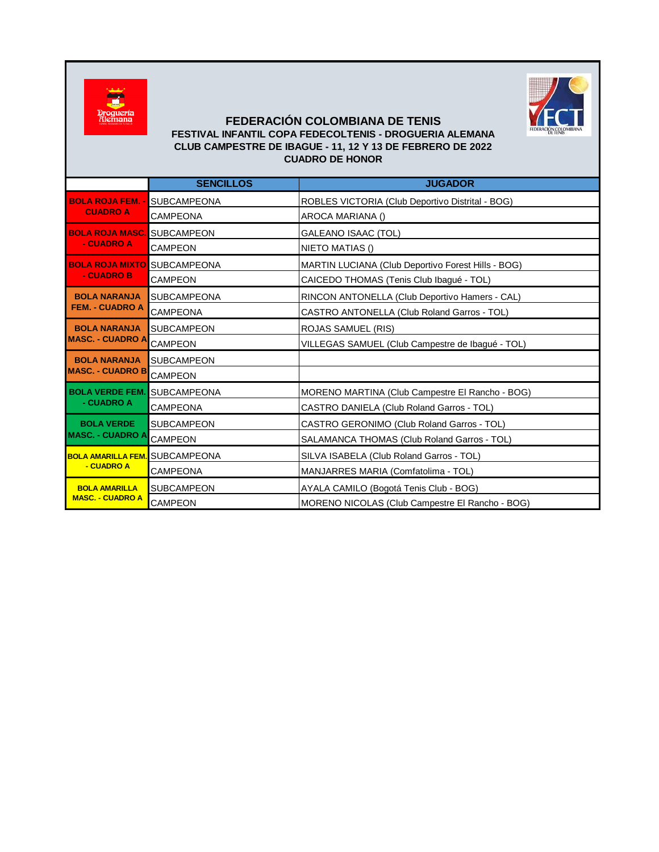



## **FEDERACIÓN COLOMBIANA DE TENIS FESTIVAL INFANTIL COPA FEDECOLTENIS - DROGUERIA ALEMANA CLUB CAMPESTRE DE IBAGUE - 11, 12 Y 13 DE FEBRERO DE 2022 CUADRO DE HONOR**

|                                                 | <b>SENCILLOS</b>   | <b>JUGADOR</b>                                         |
|-------------------------------------------------|--------------------|--------------------------------------------------------|
| <b>BOLA ROJA FEM. -</b><br><b>CUADRO A</b>      | <b>SUBCAMPEONA</b> | ROBLES VICTORIA (Club Deportivo Distrital - BOG)       |
|                                                 | <b>CAMPEONA</b>    | AROCA MARIANA ()                                       |
| <b>BOLA ROJA MASC.</b><br>- CUADRO A            | <b>SUBCAMPEON</b>  | GALEANO ISAAC (TOL)                                    |
|                                                 | <b>CAMPEON</b>     | NIETO MATIAS ()                                        |
| <b>BOLA ROJA MIXTO</b><br>- CUADRO B            | <b>SUBCAMPEONA</b> | MARTIN LUCIANA (Club Deportivo Forest Hills - BOG)     |
|                                                 | <b>CAMPEON</b>     | CAICEDO THOMAS (Tenis Club Ibagué - TOL)               |
| <b>BOLA NARANJA</b><br><b>FEM. - CUADRO A</b>   | <b>SUBCAMPEONA</b> | RINCON ANTONELLA (Club Deportivo Hamers - CAL)         |
|                                                 | CAMPEONA           | CASTRO ANTONELLA (Club Roland Garros - TOL)            |
| <b>BOLA NARANJA</b><br><b>MASC. - CUADRO A</b>  | <b>SUBCAMPEON</b>  | <b>ROJAS SAMUEL (RIS)</b>                              |
|                                                 | <b>CAMPEON</b>     | VILLEGAS SAMUEL (Club Campestre de Ibagué - TOL)       |
| <b>BOLA NARANJA</b><br><b>MASC. - CUADRO B</b>  | <b>SUBCAMPEON</b>  |                                                        |
|                                                 | <b>CAMPEON</b>     |                                                        |
| <b>BOLA VERDE FEM.</b><br>- CUADRO A            | <b>SUBCAMPEONA</b> | MORENO MARTINA (Club Campestre El Rancho - BOG)        |
|                                                 | <b>CAMPEONA</b>    | CASTRO DANIELA (Club Roland Garros - TOL)              |
| <b>BOLA VERDE</b><br><b>MASC. - CUADRO A</b>    | <b>SUBCAMPEON</b>  | CASTRO GERONIMO (Club Roland Garros - TOL)             |
|                                                 | <b>CAMPEON</b>     | SALAMANCA THOMAS (Club Roland Garros - TOL)            |
| <b>BOLA AMARILLA FEM.</b><br>- CUADRO A         | <b>SUBCAMPEONA</b> | SILVA ISABELA (Club Roland Garros - TOL)               |
|                                                 | <b>CAMPEONA</b>    | MANJARRES MARIA (Comfatolima - TOL)                    |
| <b>BOLA AMARILLA</b><br><b>MASC. - CUADRO A</b> | <b>SUBCAMPEON</b>  | AYALA CAMILO (Bogotá Tenis Club - BOG)                 |
|                                                 | <b>CAMPEON</b>     | <b>MORENO NICOLAS (Club Campestre El Rancho - BOG)</b> |